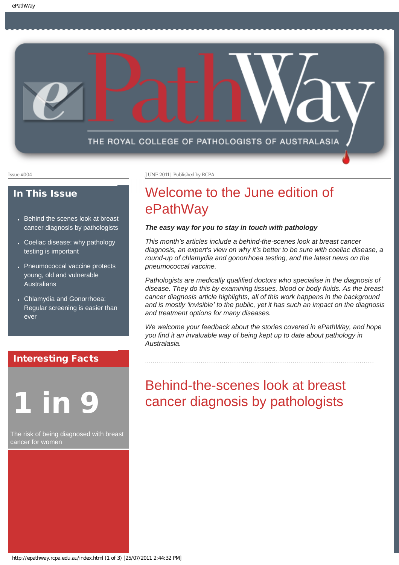<span id="page-0-0"></span>

## In This Issue

- Behind the scenes look at breast cancer diagnosis by pathologists
- Coeliac disease: why pathology testing is important
- Pneumococcal vaccine protects young, old and vulnerable Australians
- Chlamydia and Gonorrhoea: Regular screening is easier than ever

## Interesting Facts

# 1 in 9

The risk of being diagnosed with breast cancer for women

Issue #004 JUNE 2011 | Published by RCPA

# Welcome to the June edition of ePathWay

## *The easy way for you to stay in touch with pathology*

*This month's articles include a behind-the-scenes look at breast cancer diagnosis, an expert's view on why it's better to be sure with coeliac disease, a round-up of chlamydia and gonorrhoea testing, and the latest news on the pneumococcal vaccine.* 

*Pathologists are medically qualified doctors who specialise in the diagnosis of disease. They do this by examining tissues, blood or body fluids. As the breast cancer diagnosis article highlights, all of this work happens in the background and is mostly 'invisible' to the public, yet it has such an impact on the diagnosis and treatment options for many diseases.* 

*We welcome your feedback about the stories covered in ePathWay, and hope you find it an invaluable way of being kept up to date about pathology in Australasia.*

# Behind-the-scenes look at breast cancer diagnosis by pathologists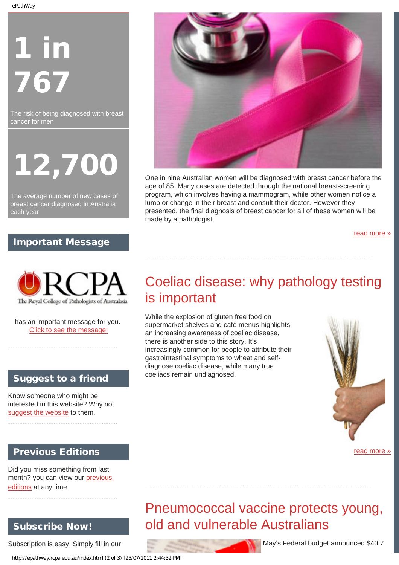ePathWay

# 1 in 767

The risk of being diagnosed with breast cancer for men

12,700

The average number of new cases of breast cancer diagnosed in Australia each year

# Important Message



has an important message for you. [Click to see the message!](http://epathway.rcpa.edu.au/notice.html)

# Suggest to a friend

Know someone who might be interested in this website? Why not [suggest the website](mailto:?Subject=I%20think%20you%20should%20read%20this%20Newsletter=
http://epathway.rcpa.edu.au/index.html) to them.

# Previous Editions

Did you miss something from last month? you can view our [previous](http://epathway.rcpa.edu.au/previous.html) [editions](http://epathway.rcpa.edu.au/previous.html) at any time.

# Subscribe Now!

Subscription is easy! Simply fill in our

http://epathway.rcpa.edu.au/index.html (2 of 3) [25/07/2011 2:44:32 PM]



One in nine Australian women will be diagnosed with breast cancer before the age of 85. Many cases are detected through the national breast-screening program, which involves having a mammogram, while other women notice a lump or change in their breast and consult their doctor. However they presented, the final diagnosis of breast cancer for all of these women will be made by a pathologist.

[read more »](#page-3-0)

# Coeliac disease: why pathology testing is important

While the explosion of gluten free food on supermarket shelves and café menus highlights an increasing awareness of coeliac disease, there is another side to this story. It's increasingly common for people to attribute their gastrointestinal symptoms to wheat and selfdiagnose coeliac disease, while many true coeliacs remain undiagnosed.



[read more »](#page-5-0)

# Pneumococcal vaccine protects young, old and vulnerable Australians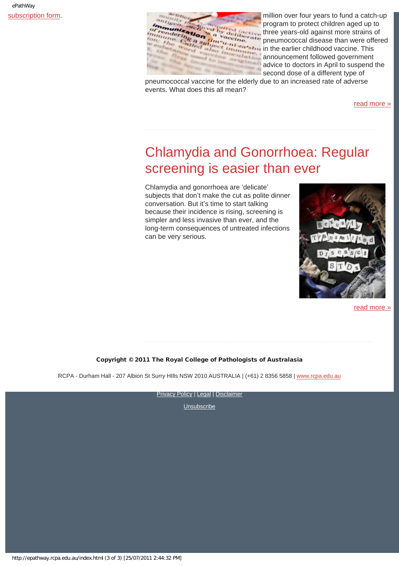

[subscription form.](http://epathway.rcpa.edu.au/subscription.html) The contract of the contract of the contract of the contract of the contract of the contract of the contract of the contract of the contract of the contract of the contract of the contract of the contrac program to protect children aged up to three years-old against more strains of pneumococcal disease than were offered Gramulation of the earlier childhood vaccine. This announcement followed government advice to doctors in April to suspend the second dose of a different type of

pneumococcal vaccine for the elderly due to an increased rate of adverse events. What does this all mean?

[read more »](#page-7-0)

# Chlamydia and Gonorrhoea: Regular screening is easier than ever

Chlamydia and gonorrhoea are 'delicate' subjects that don't make the cut as polite dinner conversation. But it's time to start talking because their incidence is rising, screening is simpler and less invasive than ever, and the long-term consequences of untreated infections can be very serious.



[read more »](#page-9-0)

## Copyright © 2011 The Royal College of Pathologists of Australasia

RCPA - Durham Hall - 207 Albion St Surry Hills NSW 2010 AUSTRALIA | (+61) 2 8356 5858 | [www.rcpa.edu.au](http://www.rcpa.edu.au/)

[Privacy Policy](http://www.rcpa.edu.au/Privacy.htm) | [Legal](http://www.rcpa.edu.au/Legal.htm) | [Disclaimer](http://www.rcpa.edu.au/Disclaimer.htm)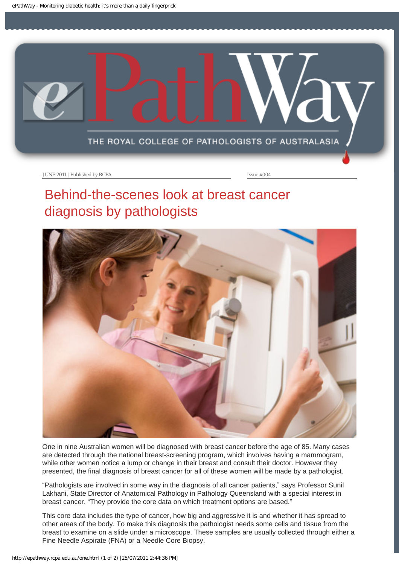<span id="page-3-0"></span>

# Behind-the-scenes look at breast cancer diagnosis by pathologists



One in nine Australian women will be diagnosed with breast cancer before the age of 85. Many cases are detected through the national breast-screening program, which involves having a mammogram, while other women notice a lump or change in their breast and consult their doctor. However they presented, the final diagnosis of breast cancer for all of these women will be made by a pathologist.

"Pathologists are involved in some way in the diagnosis of all cancer patients," says Professor Sunil Lakhani, State Director of Anatomical Pathology in Pathology Queensland with a special interest in breast cancer. "They provide the core data on which treatment options are based."

This core data includes the type of cancer, how big and aggressive it is and whether it has spread to other areas of the body. To make this diagnosis the pathologist needs some cells and tissue from the breast to examine on a slide under a microscope. These samples are usually collected through either a Fine Needle Aspirate (FNA) or a Needle Core Biopsy.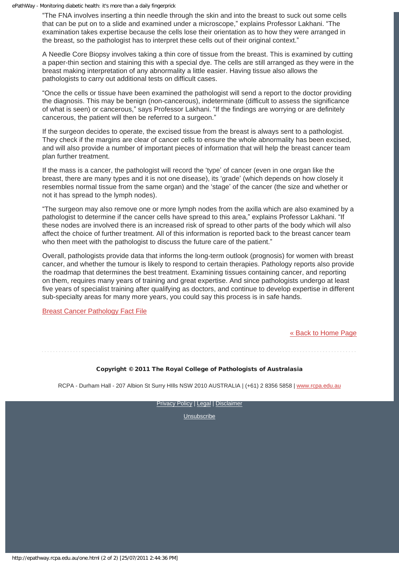"The FNA involves inserting a thin needle through the skin and into the breast to suck out some cells that can be put on to a slide and examined under a microscope," explains Professor Lakhani. "The examination takes expertise because the cells lose their orientation as to how they were arranged in the breast, so the pathologist has to interpret these cells out of their original context."

A Needle Core Biopsy involves taking a thin core of tissue from the breast. This is examined by cutting a paper-thin section and staining this with a special dye. The cells are still arranged as they were in the breast making interpretation of any abnormality a little easier. Having tissue also allows the pathologists to carry out additional tests on difficult cases.

"Once the cells or tissue have been examined the pathologist will send a report to the doctor providing the diagnosis. This may be benign (non-cancerous), indeterminate (difficult to assess the significance of what is seen) or cancerous," says Professor Lakhani. "If the findings are worrying or are definitely cancerous, the patient will then be referred to a surgeon."

If the surgeon decides to operate, the excised tissue from the breast is always sent to a pathologist. They check if the margins are clear of cancer cells to ensure the whole abnormality has been excised, and will also provide a number of important pieces of information that will help the breast cancer team plan further treatment.

If the mass is a cancer, the pathologist will record the 'type' of cancer (even in one organ like the breast, there are many types and it is not one disease), its 'grade' (which depends on how closely it resembles normal tissue from the same organ) and the 'stage' of the cancer (the size and whether or not it has spread to the lymph nodes).

"The surgeon may also remove one or more lymph nodes from the axilla which are also examined by a pathologist to determine if the cancer cells have spread to this area," explains Professor Lakhani. "If these nodes are involved there is an increased risk of spread to other parts of the body which will also affect the choice of further treatment. All of this information is reported back to the breast cancer team who then meet with the pathologist to discuss the future care of the patient."

Overall, pathologists provide data that informs the long-term outlook (prognosis) for women with breast cancer, and whether the tumour is likely to respond to certain therapies. Pathology reports also provide the roadmap that determines the best treatment. Examining tissues containing cancer, and reporting on them, requires many years of training and great expertise. And since pathologists undergo at least five years of specialist training after qualifying as doctors, and continue to develop expertise in different sub-specialty areas for many more years, you could say this process is in safe hands.

[Breast Cancer Pathology Fact File](http://www.rcpa.edu.au//static/File/Asset%20library/public%20documents/Publications/Fact%20Files/BreastCancerPathologyFactFile.PDF)

## [« Back to Home Page](#page-0-0)

## Copyright © 2011 The Royal College of Pathologists of Australasia

RCPA - Durham Hall - 207 Albion St Surry HIlls NSW 2010 AUSTRALIA | (+61) 2 8356 5858 | [www.rcpa.edu.au](http://www.rcpa.edu.au/)

[Privacy Policy](http://www.rcpa.edu.au/Privacy.htm) | [Legal](http://www.rcpa.edu.au/Legal.htm) | [Disclaimer](http://www.rcpa.edu.au/Disclaimer.htm)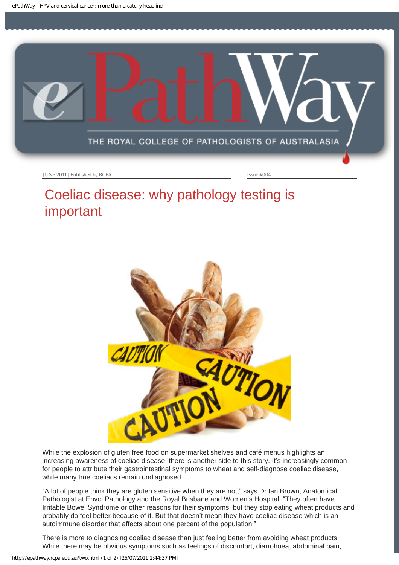<span id="page-5-0"></span>

# Coeliac disease: why pathology testing is important



While the explosion of gluten free food on supermarket shelves and café menus highlights an increasing awareness of coeliac disease, there is another side to this story. It's increasingly common for people to attribute their gastrointestinal symptoms to wheat and self-diagnose coeliac disease, while many true coeliacs remain undiagnosed.

"A lot of people think they are gluten sensitive when they are not," says Dr Ian Brown, Anatomical Pathologist at Envoi Pathology and the Royal Brisbane and Women's Hospital. "They often have Irritable Bowel Syndrome or other reasons for their symptoms, but they stop eating wheat products and probably do feel better because of it. But that doesn't mean they have coeliac disease which is an autoimmune disorder that affects about one percent of the population."

There is more to diagnosing coeliac disease than just feeling better from avoiding wheat products. While there may be obvious symptoms such as feelings of discomfort, diarrohoea, abdominal pain,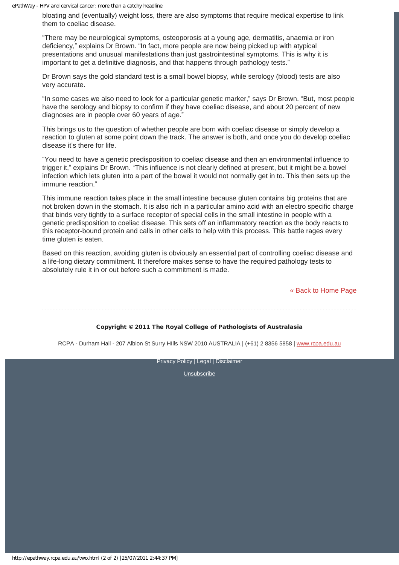bloating and (eventually) weight loss, there are also symptoms that require medical expertise to link them to coeliac disease.

"There may be neurological symptoms, osteoporosis at a young age, dermatitis, anaemia or iron deficiency," explains Dr Brown. "In fact, more people are now being picked up with atypical presentations and unusual manifestations than just gastrointestinal symptoms. This is why it is important to get a definitive diagnosis, and that happens through pathology tests."

Dr Brown says the gold standard test is a small bowel biopsy, while serology (blood) tests are also very accurate.

"In some cases we also need to look for a particular genetic marker," says Dr Brown. "But, most people have the serology and biopsy to confirm if they have coeliac disease, and about 20 percent of new diagnoses are in people over 60 years of age."

This brings us to the question of whether people are born with coeliac disease or simply develop a reaction to gluten at some point down the track. The answer is both, and once you do develop coeliac disease it's there for life.

"You need to have a genetic predisposition to coeliac disease and then an environmental influence to trigger it," explains Dr Brown. "This influence is not clearly defined at present, but it might be a bowel infection which lets gluten into a part of the bowel it would not normally get in to. This then sets up the immune reaction."

This immune reaction takes place in the small intestine because gluten contains big proteins that are not broken down in the stomach. It is also rich in a particular amino acid with an electro specific charge that binds very tightly to a surface receptor of special cells in the small intestine in people with a genetic predisposition to coeliac disease. This sets off an inflammatory reaction as the body reacts to this receptor-bound protein and calls in other cells to help with this process. This battle rages every time gluten is eaten.

Based on this reaction, avoiding gluten is obviously an essential part of controlling coeliac disease and a life-long dietary commitment. It therefore makes sense to have the required pathology tests to absolutely rule it in or out before such a commitment is made.

[« Back to Home Page](#page-0-0)

## Copyright © 2011 The Royal College of Pathologists of Australasia

RCPA - Durham Hall - 207 Albion St Surry Hills NSW 2010 AUSTRALIA | (+61) 2 8356 5858 | [www.rcpa.edu.au](http://www.rcpa.edu.au/)

[Privacy Policy](http://www.rcpa.edu.au/Privacy.htm) | [Legal](http://www.rcpa.edu.au/Legal.htm) | [Disclaimer](http://www.rcpa.edu.au/Disclaimer.htm)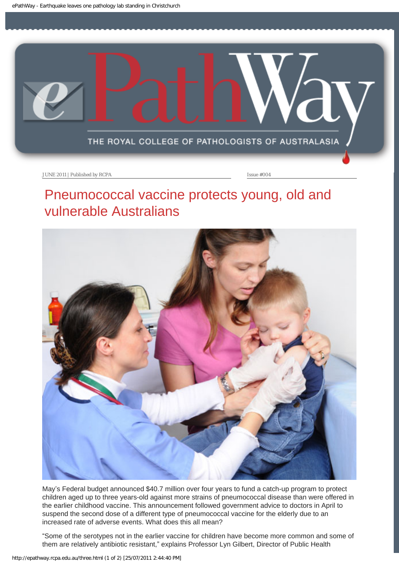<span id="page-7-0"></span>

# Pneumococcal vaccine protects young, old and vulnerable Australians



May's Federal budget announced \$40.7 million over four years to fund a catch-up program to protect children aged up to three years-old against more strains of pneumococcal disease than were offered in the earlier childhood vaccine. This announcement followed government advice to doctors in April to suspend the second dose of a different type of pneumococcal vaccine for the elderly due to an increased rate of adverse events. What does this all mean?

"Some of the serotypes not in the earlier vaccine for children have become more common and some of them are relatively antibiotic resistant," explains Professor Lyn Gilbert, Director of Public Health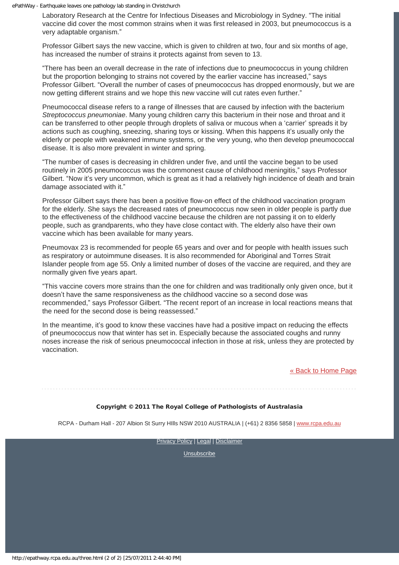Laboratory Research at the Centre for Infectious Diseases and Microbiology in Sydney. "The initial vaccine did cover the most common strains when it was first released in 2003, but pneumococcus is a very adaptable organism."

Professor Gilbert says the new vaccine, which is given to children at two, four and six months of age, has increased the number of strains it protects against from seven to 13.

"There has been an overall decrease in the rate of infections due to pneumococcus in young children but the proportion belonging to strains not covered by the earlier vaccine has increased," says Professor Gilbert. "Overall the number of cases of pneumococcus has dropped enormously, but we are now getting different strains and we hope this new vaccine will cut rates even further."

Pneumococcal disease refers to a range of illnesses that are caused by infection with the bacterium *Streptococcus pneumoniae*. Many young children carry this bacterium in their nose and throat and it can be transferred to other people through droplets of saliva or mucous when a 'carrier' spreads it by actions such as coughing, sneezing, sharing toys or kissing. When this happens it's usually only the elderly or people with weakened immune systems, or the very young, who then develop pneumococcal disease. It is also more prevalent in winter and spring.

"The number of cases is decreasing in children under five, and until the vaccine began to be used routinely in 2005 pneumococcus was the commonest cause of childhood meningitis," says Professor Gilbert. "Now it's very uncommon, which is great as it had a relatively high incidence of death and brain damage associated with it."

Professor Gilbert says there has been a positive flow-on effect of the childhood vaccination program for the elderly. She says the decreased rates of pneumococcus now seen in older people is partly due to the effectiveness of the childhood vaccine because the children are not passing it on to elderly people, such as grandparents, who they have close contact with. The elderly also have their own vaccine which has been available for many years.

Pneumovax 23 is recommended for people 65 years and over and for people with health issues such as respiratory or autoimmune diseases. It is also recommended for Aboriginal and Torres Strait Islander people from age 55. Only a limited number of doses of the vaccine are required, and they are normally given five years apart.

"This vaccine covers more strains than the one for children and was traditionally only given once, but it doesn't have the same responsiveness as the childhood vaccine so a second dose was recommended," says Professor Gilbert. "The recent report of an increase in local reactions means that the need for the second dose is being reassessed."

In the meantime, it's good to know these vaccines have had a positive impact on reducing the effects of pneumococcus now that winter has set in. Especially because the associated coughs and runny noses increase the risk of serious pneumococcal infection in those at risk, unless they are protected by vaccination.

[« Back to Home Page](#page-0-0)

## Copyright © 2011 The Royal College of Pathologists of Australasia

RCPA - Durham Hall - 207 Albion St Surry HIlls NSW 2010 AUSTRALIA | (+61) 2 8356 5858 | [www.rcpa.edu.au](http://www.rcpa.edu.au/)

**[Privacy Policy](http://www.rcpa.edu.au/Privacy.htm) | [Legal](http://www.rcpa.edu.au/Legal.htm) | [Disclaimer](http://www.rcpa.edu.au/Disclaimer.htm)**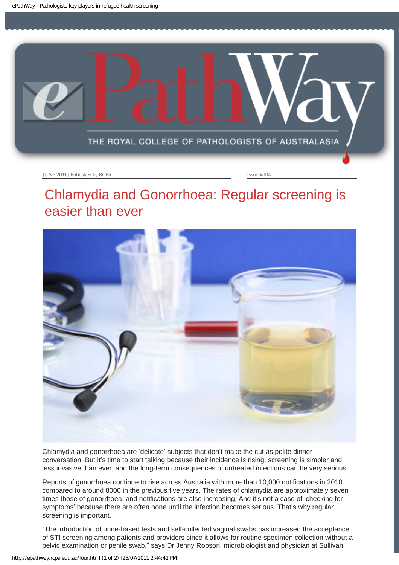<span id="page-9-0"></span>

# Chlamydia and Gonorrhoea: Regular screening is easier than ever



Chlamydia and gonorrhoea are 'delicate' subjects that don't make the cut as polite dinner conversation. But it's time to start talking because their incidence is rising, screening is simpler and less invasive than ever, and the long-term consequences of untreated infections can be very serious.

Reports of gonorrhoea continue to rise across Australia with more than 10,000 notifications in 2010 compared to around 8000 in the previous five years. The rates of chlamydia are approximately seven times those of gonorrhoea, and notifications are also increasing. And it's not a case of 'checking for symptoms' because there are often none until the infection becomes serious. That's why regular screening is important.

"The introduction of urine-based tests and self-collected vaginal swabs has increased the acceptance of STI screening among patients and providers since it allows for routine specimen collection without a pelvic examination or penile swab," says Dr Jenny Robson, microbiologist and physician at Sullivan